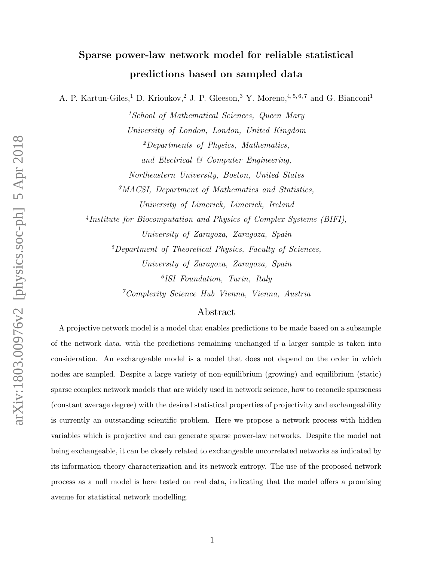# Sparse power-law network model for reliable statistical predictions based on sampled data

A. P. Kartun-Giles,<sup>1</sup> D. Krioukov,<sup>2</sup> J. P. Gleeson,<sup>3</sup> Y. Moreno,<sup>4,5,6,7</sup> and G. Bianconi<sup>1</sup>

<sup>1</sup>School of Mathematical Sciences, Queen Mary University of London, London, United Kingdom  ${}^{2}$ Departments of Physics, Mathematics, and Electrical & Computer Engineering, Northeastern University, Boston, United States <sup>3</sup>MACSI, Department of Mathematics and Statistics,

University of Limerick, Limerick, Ireland

4 Institute for Biocomputation and Physics of Complex Systems (BIFI), University of Zaragoza, Zaragoza, Spain

 $<sup>5</sup> Department of Theoretical Physics, Faculty of Sciences,$ </sup> University of Zaragoza, Zaragoza, Spain 6 ISI Foundation, Turin, Italy

<sup>7</sup>Complexity Science Hub Vienna, Vienna, Austria

## Abstract

A projective network model is a model that enables predictions to be made based on a subsample of the network data, with the predictions remaining unchanged if a larger sample is taken into consideration. An exchangeable model is a model that does not depend on the order in which nodes are sampled. Despite a large variety of non-equilibrium (growing) and equilibrium (static) sparse complex network models that are widely used in network science, how to reconcile sparseness (constant average degree) with the desired statistical properties of projectivity and exchangeability is currently an outstanding scientific problem. Here we propose a network process with hidden variables which is projective and can generate sparse power-law networks. Despite the model not being exchangeable, it can be closely related to exchangeable uncorrelated networks as indicated by its information theory characterization and its network entropy. The use of the proposed network process as a null model is here tested on real data, indicating that the model offers a promising avenue for statistical network modelling.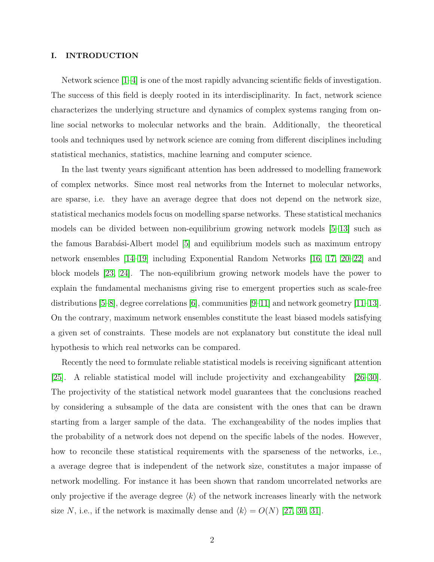## I. INTRODUCTION

Network science [\[1–](#page-21-0)[4\]](#page-21-1) is one of the most rapidly advancing scientific fields of investigation. The success of this field is deeply rooted in its interdisciplinarity. In fact, network science characterizes the underlying structure and dynamics of complex systems ranging from online social networks to molecular networks and the brain. Additionally, the theoretical tools and techniques used by network science are coming from different disciplines including statistical mechanics, statistics, machine learning and computer science.

In the last twenty years significant attention has been addressed to modelling framework of complex networks. Since most real networks from the Internet to molecular networks, are sparse, i.e. they have an average degree that does not depend on the network size, statistical mechanics models focus on modelling sparse networks. These statistical mechanics models can be divided between non-equilibrium growing network models [\[5–](#page-21-2)[13\]](#page-21-3) such as the famous Barabási-Albert model [\[5\]](#page-21-2) and equilibrium models such as maximum entropy network ensembles [\[14](#page-21-4)[–19\]](#page-21-5) including Exponential Random Networks [\[16,](#page-21-6) [17,](#page-21-7) [20–](#page-21-8)[22\]](#page-22-0) and block models [\[23,](#page-22-1) [24\]](#page-22-2). The non-equilibrium growing network models have the power to explain the fundamental mechanisms giving rise to emergent properties such as scale-free distributions [\[5](#page-21-2)[–8\]](#page-21-9), degree correlations [\[6\]](#page-21-10), communities [\[9–](#page-21-11)[11\]](#page-21-12) and network geometry [\[11–](#page-21-12)[13\]](#page-21-3). On the contrary, maximum network ensembles constitute the least biased models satisfying a given set of constraints. These models are not explanatory but constitute the ideal null hypothesis to which real networks can be compared.

Recently the need to formulate reliable statistical models is receiving significant attention [\[25\]](#page-22-3). A reliable statistical model will include projectivity and exchangeability [\[26–](#page-22-4)[30\]](#page-22-5). The projectivity of the statistical network model guarantees that the conclusions reached by considering a subsample of the data are consistent with the ones that can be drawn starting from a larger sample of the data. The exchangeability of the nodes implies that the probability of a network does not depend on the specific labels of the nodes. However, how to reconcile these statistical requirements with the sparseness of the networks, i.e., a average degree that is independent of the network size, constitutes a major impasse of network modelling. For instance it has been shown that random uncorrelated networks are only projective if the average degree  $\langle k \rangle$  of the network increases linearly with the network size N, i.e., if the network is maximally dense and  $\langle k \rangle = O(N)$  [\[27,](#page-22-6) [30,](#page-22-5) [31\]](#page-22-7).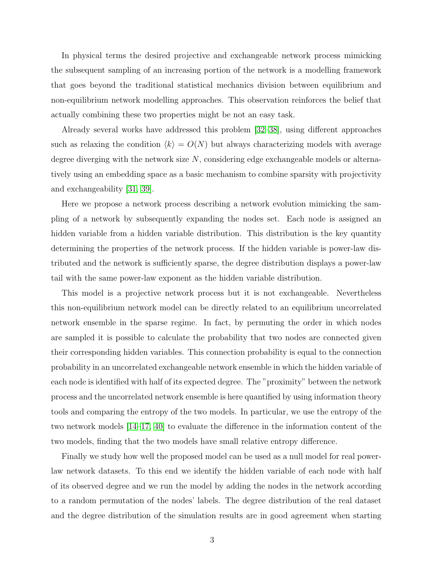In physical terms the desired projective and exchangeable network process mimicking the subsequent sampling of an increasing portion of the network is a modelling framework that goes beyond the traditional statistical mechanics division between equilibrium and non-equilibrium network modelling approaches. This observation reinforces the belief that actually combining these two properties might be not an easy task.

Already several works have addressed this problem [\[32–](#page-22-8)[38\]](#page-22-9), using different approaches such as relaxing the condition  $\langle k \rangle = O(N)$  but always characterizing models with average degree diverging with the network size  $N$ , considering edge exchangeable models or alternatively using an embedding space as a basic mechanism to combine sparsity with projectivity and exchangeability [\[31,](#page-22-7) [39\]](#page-22-10).

Here we propose a network process describing a network evolution mimicking the sampling of a network by subsequently expanding the nodes set. Each node is assigned an hidden variable from a hidden variable distribution. This distribution is the key quantity determining the properties of the network process. If the hidden variable is power-law distributed and the network is sufficiently sparse, the degree distribution displays a power-law tail with the same power-law exponent as the hidden variable distribution.

This model is a projective network process but it is not exchangeable. Nevertheless this non-equilibrium network model can be directly related to an equilibrium uncorrelated network ensemble in the sparse regime. In fact, by permuting the order in which nodes are sampled it is possible to calculate the probability that two nodes are connected given their corresponding hidden variables. This connection probability is equal to the connection probability in an uncorrelated exchangeable network ensemble in which the hidden variable of each node is identified with half of its expected degree. The "proximity" between the network process and the uncorrelated network ensemble is here quantified by using information theory tools and comparing the entropy of the two models. In particular, we use the entropy of the two network models [\[14–](#page-21-4)[17,](#page-21-7) [40\]](#page-22-11) to evaluate the difference in the information content of the two models, finding that the two models have small relative entropy difference.

Finally we study how well the proposed model can be used as a null model for real powerlaw network datasets. To this end we identify the hidden variable of each node with half of its observed degree and we run the model by adding the nodes in the network according to a random permutation of the nodes' labels. The degree distribution of the real dataset and the degree distribution of the simulation results are in good agreement when starting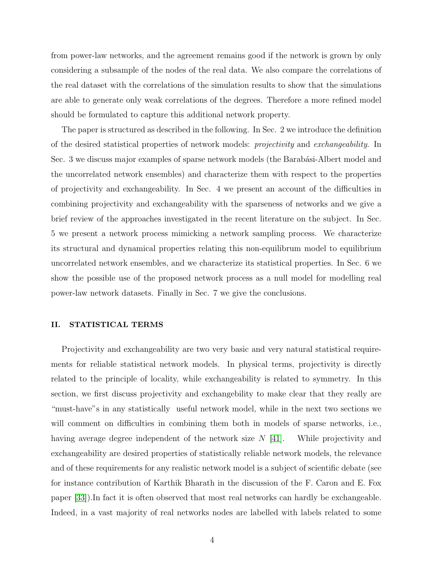from power-law networks, and the agreement remains good if the network is grown by only considering a subsample of the nodes of the real data. We also compare the correlations of the real dataset with the correlations of the simulation results to show that the simulations are able to generate only weak correlations of the degrees. Therefore a more refined model should be formulated to capture this additional network property.

The paper is structured as described in the following. In Sec. 2 we introduce the definition of the desired statistical properties of network models: projectivity and exchangeability. In Sec. 3 we discuss major examples of sparse network models (the Barabási-Albert model and the uncorrelated network ensembles) and characterize them with respect to the properties of projectivity and exchangeability. In Sec. 4 we present an account of the difficulties in combining projectivity and exchangeability with the sparseness of networks and we give a brief review of the approaches investigated in the recent literature on the subject. In Sec. 5 we present a network process mimicking a network sampling process. We characterize its structural and dynamical properties relating this non-equilibrum model to equilibrium uncorrelated network ensembles, and we characterize its statistical properties. In Sec. 6 we show the possible use of the proposed network process as a null model for modelling real power-law network datasets. Finally in Sec. 7 we give the conclusions.

## II. STATISTICAL TERMS

Projectivity and exchangeability are two very basic and very natural statistical requirements for reliable statistical network models. In physical terms, projectivity is directly related to the principle of locality, while exchangeability is related to symmetry. In this section, we first discuss projectivity and exchangebility to make clear that they really are "must-have"s in any statistically useful network model, while in the next two sections we will comment on difficulties in combining them both in models of sparse networks, i.e., having average degree independent of the network size  $N$  [\[41\]](#page-22-12). While projectivity and exchangeability are desired properties of statistically reliable network models, the relevance and of these requirements for any realistic network model is a subject of scientific debate (see for instance contribution of Karthik Bharath in the discussion of the F. Caron and E. Fox paper [\[33\]](#page-22-13)).In fact it is often observed that most real networks can hardly be exchangeable. Indeed, in a vast majority of real networks nodes are labelled with labels related to some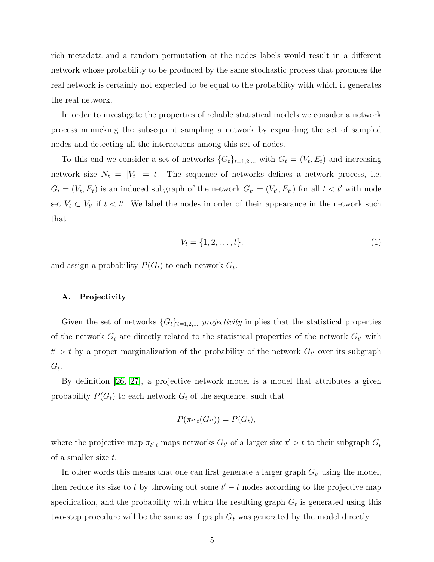rich metadata and a random permutation of the nodes labels would result in a different network whose probability to be produced by the same stochastic process that produces the real network is certainly not expected to be equal to the probability with which it generates the real network.

In order to investigate the properties of reliable statistical models we consider a network process mimicking the subsequent sampling a network by expanding the set of sampled nodes and detecting all the interactions among this set of nodes.

To this end we consider a set of networks  $\{G_t\}_{t=1,2,...}$  with  $G_t = (V_t, E_t)$  and increasing network size  $N_t = |V_t| = t$ . The sequence of networks defines a network process, i.e.  $G_t = (V_t, E_t)$  is an induced subgraph of the network  $G_{t'} = (V_{t'}, E_{t'})$  for all  $t < t'$  with node set  $V_t \subset V_{t'}$  if  $t < t'$ . We label the nodes in order of their appearance in the network such that

$$
V_t = \{1, 2, \dots, t\}.
$$
 (1)

and assign a probability  $P(G_t)$  to each network  $G_t$ .

#### A. Projectivity

Given the set of networks  ${G_t}_{t=1,2,...}$  projectivity implies that the statistical properties of the network  $G_t$  are directly related to the statistical properties of the network  $G_{t'}$  with  $t' > t$  by a proper marginalization of the probability of the network  $G_{t'}$  over its subgraph  $G_t$ .

By definition [\[26,](#page-22-4) [27\]](#page-22-6), a projective network model is a model that attributes a given probability  $P(G_t)$  to each network  $G_t$  of the sequence, such that

$$
P(\pi_{t',t}(G_{t'})) = P(G_t),
$$

where the projective map  $\pi_{t',t}$  maps networks  $G_{t'}$  of a larger size  $t' > t$  to their subgraph  $G_t$ of a smaller size t.

In other words this means that one can first generate a larger graph  $G_{t'}$  using the model, then reduce its size to t by throwing out some  $t' - t$  nodes according to the projective map specification, and the probability with which the resulting graph  $G_t$  is generated using this two-step procedure will be the same as if graph  $G_t$  was generated by the model directly.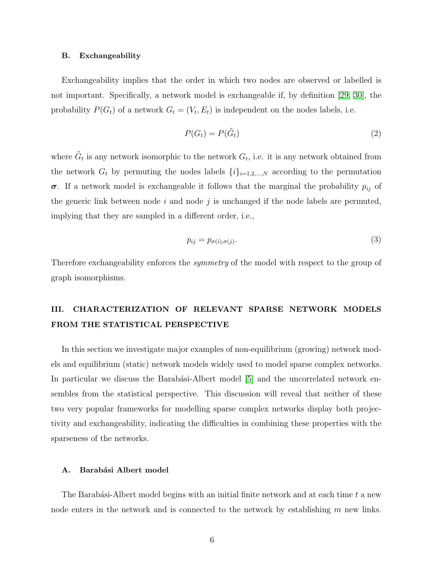#### B. Exchangeability

Exchangeability implies that the order in which two nodes are observed or labelled is not important. Specifically, a network model is exchangeable if, by definition [\[29,](#page-22-14) [30\]](#page-22-5), the probability  $P(G_t)$  of a network  $G_t = (V_t, E_t)$  is independent on the nodes labels, i.e.

$$
P(G_t) = P(\tilde{G}_t)
$$
\n<sup>(2)</sup>

where  $\tilde{G}_t$  is any network isomorphic to the network  $G_t$ , i.e. it is any network obtained from the network  $G_t$  by permuting the nodes labels  $\{i\}_{i=1,2,\dots,N}$  according to the permutation  $\sigma$ . If a network model is exchangeable it follows that the marginal the probability  $p_{ij}$  of the generic link between node  $i$  and node  $j$  is unchanged if the node labels are permuted, implying that they are sampled in a different order, i.e.,

$$
p_{ij} = p_{\sigma(i), \sigma(j)}.\tag{3}
$$

Therefore exchangeability enforces the symmetry of the model with respect to the group of graph isomorphisms.

## III. CHARACTERIZATION OF RELEVANT SPARSE NETWORK MODELS FROM THE STATISTICAL PERSPECTIVE

In this section we investigate major examples of non-equilibrium (growing) network models and equilibrium (static) network models widely used to model sparse complex networks. In particular we discuss the Barabási-Albert model [\[5\]](#page-21-2) and the uncorrelated network ensembles from the statistical perspective. This discussion will reveal that neither of these two very popular frameworks for modelling sparse complex networks display both projectivity and exchangeability, indicating the difficulties in combining these properties with the sparseness of the networks.

#### A. Barabási Albert model

The Barabási-Albert model begins with an initial finite network and at each time  $t$  a new node enters in the network and is connected to the network by establishing m new links.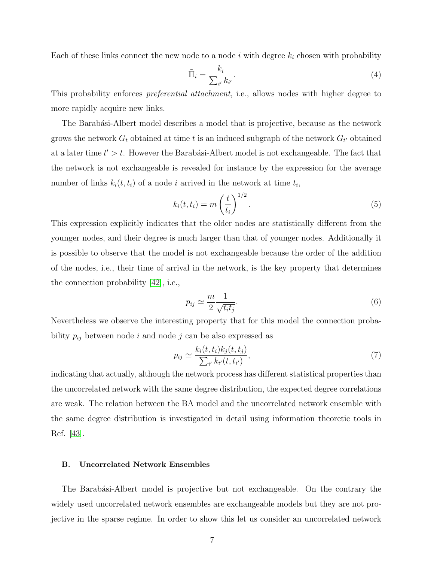Each of these links connect the new node to a node  $i$  with degree  $k_i$  chosen with probability

$$
\tilde{\Pi}_i = \frac{k_i}{\sum_{i'} k_{i'}}.\tag{4}
$$

This probability enforces *preferential attachment*, i.e., allows nodes with higher degree to more rapidly acquire new links.

The Barabási-Albert model describes a model that is projective, because as the network grows the network  $G_t$  obtained at time t is an induced subgraph of the network  $G_{t'}$  obtained at a later time  $t' > t$ . However the Barabási-Albert model is not exchangeable. The fact that the network is not exchangeable is revealed for instance by the expression for the average number of links  $k_i(t, t_i)$  of a node i arrived in the network at time  $t_i$ ,

$$
k_i(t, t_i) = m\left(\frac{t}{t_i}\right)^{1/2}.\tag{5}
$$

This expression explicitly indicates that the older nodes are statistically different from the younger nodes, and their degree is much larger than that of younger nodes. Additionally it is possible to observe that the model is not exchangeable because the order of the addition of the nodes, i.e., their time of arrival in the network, is the key property that determines the connection probability [\[42\]](#page-22-15), i.e.,

$$
p_{ij} \simeq \frac{m}{2} \frac{1}{\sqrt{t_i t_j}}.\tag{6}
$$

Nevertheless we observe the interesting property that for this model the connection probability  $p_{ij}$  between node i and node j can be also expressed as

$$
p_{ij} \simeq \frac{k_i(t, t_i)k_j(t, t_j)}{\sum_{i'} k_{i'}(t, t_{i'})},\tag{7}
$$

indicating that actually, although the network process has different statistical properties than the uncorrelated network with the same degree distribution, the expected degree correlations are weak. The relation between the BA model and the uncorrelated network ensemble with the same degree distribution is investigated in detail using information theoretic tools in Ref. [\[43\]](#page-22-16).

## B. Uncorrelated Network Ensembles

The Barabási-Albert model is projective but not exchangeable. On the contrary the widely used uncorrelated network ensembles are exchangeable models but they are not projective in the sparse regime. In order to show this let us consider an uncorrelated network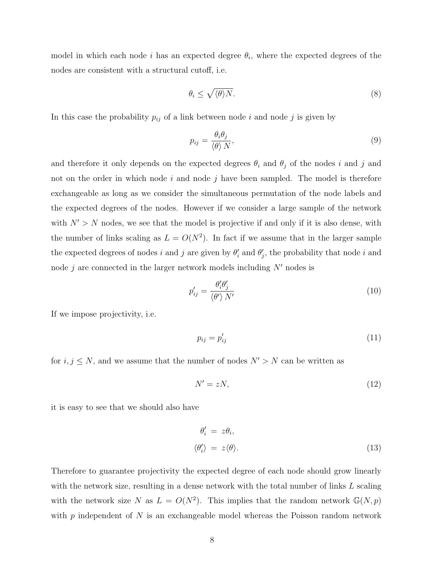model in which each node i has an expected degree  $\theta_i$ , where the expected degrees of the nodes are consistent with a structural cutoff, i.e.

$$
\theta_i \le \sqrt{\langle \theta \rangle N}.\tag{8}
$$

In this case the probability  $p_{ij}$  of a link between node i and node j is given by

$$
p_{ij} = \frac{\theta_i \theta_j}{\langle \theta \rangle N},\tag{9}
$$

and therefore it only depends on the expected degrees  $\theta_i$  and  $\theta_j$  of the nodes i and j and not on the order in which node  $i$  and node  $j$  have been sampled. The model is therefore exchangeable as long as we consider the simultaneous permutation of the node labels and the expected degrees of the nodes. However if we consider a large sample of the network with  $N' > N$  nodes, we see that the model is projective if and only if it is also dense, with the number of links scaling as  $L = O(N^2)$ . In fact if we assume that in the larger sample the expected degrees of nodes i and j are given by  $\theta_i'$  and  $\theta_j'$ , the probability that node i and node j are connected in the larger network models including  $N'$  nodes is

$$
p'_{ij} = \frac{\theta'_i \theta'_j}{\langle \theta' \rangle N'} \tag{10}
$$

If we impose projectivity, i.e.

$$
p_{ij} = p'_{ij} \tag{11}
$$

for  $i, j \le N$ , and we assume that the number of nodes  $N' > N$  can be written as

$$
N' = zN,\t(12)
$$

it is easy to see that we should also have

$$
\begin{aligned}\n\theta_i' &= z\theta_i, \\
\langle \theta_i' \rangle &= z \langle \theta \rangle. \n\end{aligned} \n\tag{13}
$$

Therefore to guarantee projectivity the expected degree of each node should grow linearly with the network size, resulting in a dense network with the total number of links L scaling with the network size N as  $L = O(N^2)$ . This implies that the random network  $\mathbb{G}(N, p)$ with  $p$  independent of  $N$  is an exchangeable model whereas the Poisson random network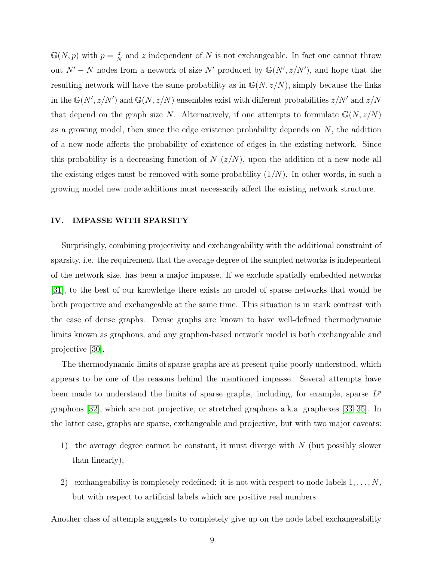$\mathbb{G}(N,p)$  with  $p=\frac{z}{N}$  $\frac{z}{N}$  and z independent of N is not exchangeable. In fact one cannot throw out  $N' - N$  nodes from a network of size N' produced by  $\mathbb{G}(N', z/N')$ , and hope that the resulting network will have the same probability as in  $\mathbb{G}(N, z/N)$ , simply because the links in the  $\mathbb{G}(N', z/N')$  and  $\mathbb{G}(N, z/N)$  ensembles exist with different probabilities  $z/N'$  and  $z/N$ that depend on the graph size N. Alternatively, if one attempts to formulate  $\mathbb{G}(N, z/N)$ as a growing model, then since the edge existence probability depends on  $N$ , the addition of a new node affects the probability of existence of edges in the existing network. Since this probability is a decreasing function of  $N(z/N)$ , upon the addition of a new node all the existing edges must be removed with some probability  $(1/N)$ . In other words, in such a growing model new node additions must necessarily affect the existing network structure.

#### IV. IMPASSE WITH SPARSITY

Surprisingly, combining projectivity and exchangeability with the additional constraint of sparsity, i.e. the requirement that the average degree of the sampled networks is independent of the network size, has been a major impasse. If we exclude spatially embedded networks [\[31\]](#page-22-7), to the best of our knowledge there exists no model of sparse networks that would be both projective and exchangeable at the same time. This situation is in stark contrast with the case of dense graphs. Dense graphs are known to have well-defined thermodynamic limits known as graphons, and any graphon-based network model is both exchangeable and projective [\[30\]](#page-22-5).

The thermodynamic limits of sparse graphs are at present quite poorly understood, which appears to be one of the reasons behind the mentioned impasse. Several attempts have been made to understand the limits of sparse graphs, including, for example, sparse  $L^p$ graphons [\[32\]](#page-22-8), which are not projective, or stretched graphons a.k.a. graphexes [\[33–](#page-22-13)[35\]](#page-22-17). In the latter case, graphs are sparse, exchangeable and projective, but with two major caveats:

- 1) the average degree cannot be constant, it must diverge with N (but possibly slower than linearly),
- 2) exchangeability is completely redefined: it is not with respect to node labels  $1, \ldots, N$ , but with respect to artificial labels which are positive real numbers.

Another class of attempts suggests to completely give up on the node label exchangeability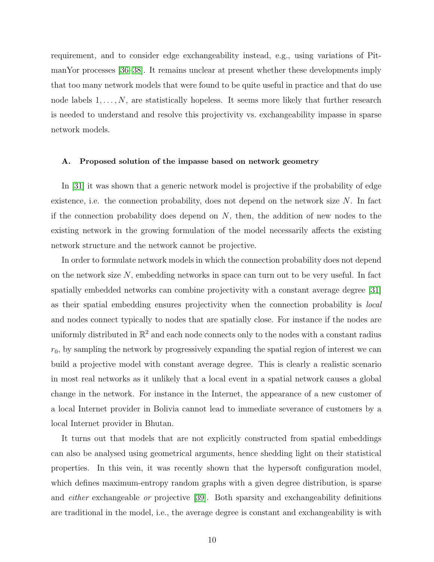requirement, and to consider edge exchangeability instead, e.g., using variations of PitmanYor processes [\[36](#page-22-18)[–38\]](#page-22-9). It remains unclear at present whether these developments imply that too many network models that were found to be quite useful in practice and that do use node labels  $1, \ldots, N$ , are statistically hopeless. It seems more likely that further research is needed to understand and resolve this projectivity vs. exchangeability impasse in sparse network models.

#### A. Proposed solution of the impasse based on network geometry

In [\[31\]](#page-22-7) it was shown that a generic network model is projective if the probability of edge existence, i.e. the connection probability, does not depend on the network size N. In fact if the connection probability does depend on  $N$ , then, the addition of new nodes to the existing network in the growing formulation of the model necessarily affects the existing network structure and the network cannot be projective.

In order to formulate network models in which the connection probability does not depend on the network size  $N$ , embedding networks in space can turn out to be very useful. In fact spatially embedded networks can combine projectivity with a constant average degree [\[31\]](#page-22-7) as their spatial embedding ensures projectivity when the connection probability is local and nodes connect typically to nodes that are spatially close. For instance if the nodes are uniformly distributed in  $\mathbb{R}^2$  and each node connects only to the nodes with a constant radius  $r_0$ , by sampling the network by progressively expanding the spatial region of interest we can build a projective model with constant average degree. This is clearly a realistic scenario in most real networks as it unlikely that a local event in a spatial network causes a global change in the network. For instance in the Internet, the appearance of a new customer of a local Internet provider in Bolivia cannot lead to immediate severance of customers by a local Internet provider in Bhutan.

It turns out that models that are not explicitly constructed from spatial embeddings can also be analysed using geometrical arguments, hence shedding light on their statistical properties. In this vein, it was recently shown that the hypersoft configuration model, which defines maximum-entropy random graphs with a given degree distribution, is sparse and either exchangeable or projective [\[39\]](#page-22-10). Both sparsity and exchangeability definitions are traditional in the model, i.e., the average degree is constant and exchangeability is with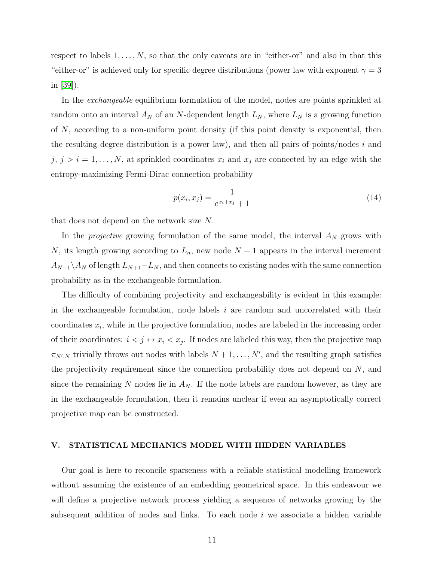respect to labels  $1, \ldots, N$ , so that the only caveats are in "either-or" and also in that this "either-or" is achieved only for specific degree distributions (power law with exponent  $\gamma = 3$ in [\[39\]](#page-22-10)).

In the *exchangeable* equilibrium formulation of the model, nodes are points sprinkled at random onto an interval  $A_N$  of an N-dependent length  $L_N$ , where  $L_N$  is a growing function of N, according to a non-uniform point density (if this point density is exponential, then the resulting degree distribution is a power law), and then all pairs of points/nodes  $i$  and  $j, j > i = 1, \ldots, N$ , at sprinkled coordinates  $x_i$  and  $x_j$  are connected by an edge with the entropy-maximizing Fermi-Dirac connection probability

$$
p(x_i, x_j) = \frac{1}{e^{x_i + x_j} + 1} \tag{14}
$$

that does not depend on the network size N.

In the *projective* growing formulation of the same model, the interval  $A_N$  grows with N, its length growing according to  $L_n$ , new node  $N+1$  appears in the interval increment  $A_{N+1}\setminus A_N$  of length  $L_{N+1}-L_N$ , and then connects to existing nodes with the same connection probability as in the exchangeable formulation.

The difficulty of combining projectivity and exchangeability is evident in this example: in the exchangeable formulation, node labels  $i$  are random and uncorrelated with their coordinates  $x_i$ , while in the projective formulation, nodes are labeled in the increasing order of their coordinates:  $i < j \leftrightarrow x_i < x_j$ . If nodes are labeled this way, then the projective map  $\pi_{N',N}$  trivially throws out nodes with labels  $N+1,\ldots,N'$ , and the resulting graph satisfies the projectivity requirement since the connection probability does not depend on  $N$ , and since the remaining N nodes lie in  $A_N$ . If the node labels are random however, as they are in the exchangeable formulation, then it remains unclear if even an asymptotically correct projective map can be constructed.

## V. STATISTICAL MECHANICS MODEL WITH HIDDEN VARIABLES

Our goal is here to reconcile sparseness with a reliable statistical modelling framework without assuming the existence of an embedding geometrical space. In this endeavour we will define a projective network process yielding a sequence of networks growing by the subsequent addition of nodes and links. To each node  $i$  we associate a hidden variable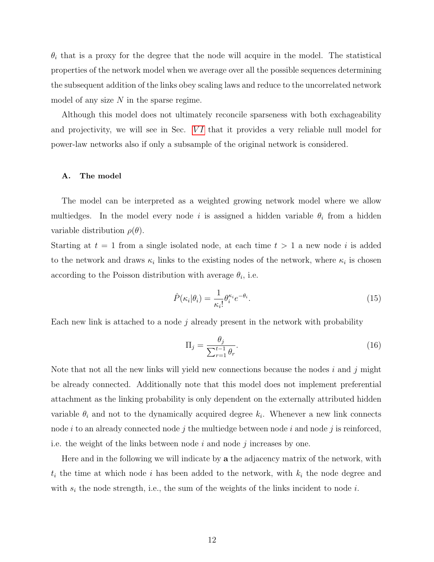$\theta_i$  that is a proxy for the degree that the node will acquire in the model. The statistical properties of the network model when we average over all the possible sequences determining the subsequent addition of the links obey scaling laws and reduce to the uncorrelated network model of any size  $N$  in the sparse regime.

Although this model does not ultimately reconcile sparseness with both exchageability and projectivity, we will see in Sec.  $VI$  that it provides a very reliable null model for power-law networks also if only a subsample of the original network is considered.

## A. The model

The model can be interpreted as a weighted growing network model where we allow multiedges. In the model every node i is assigned a hidden variable  $\theta_i$  from a hidden variable distribution  $\rho(\theta)$ .

Starting at  $t = 1$  from a single isolated node, at each time  $t > 1$  a new node i is added to the network and draws  $\kappa_i$  links to the existing nodes of the network, where  $\kappa_i$  is chosen according to the Poisson distribution with average  $\theta_i$ , i.e.

$$
\hat{P}(\kappa_i|\theta_i) = \frac{1}{\kappa_i!} \theta_i^{\kappa_i} e^{-\theta_i}.
$$
\n(15)

Each new link is attached to a node j already present in the network with probability

$$
\Pi_j = \frac{\theta_j}{\sum_{r=1}^{t-1} \theta_r}.\tag{16}
$$

Note that not all the new links will yield new connections because the nodes  $i$  and  $j$  might be already connected. Additionally note that this model does not implement preferential attachment as the linking probability is only dependent on the externally attributed hidden variable  $\theta_i$  and not to the dynamically acquired degree  $k_i$ . Whenever a new link connects node  $i$  to an already connected node  $j$  the multiedge between node  $i$  and node  $j$  is reinforced, i.e. the weight of the links between node  $i$  and node  $j$  increases by one.

Here and in the following we will indicate by a the adjacency matrix of the network, with  $t_i$  the time at which node i has been added to the network, with  $k_i$  the node degree and with  $s_i$  the node strength, i.e., the sum of the weights of the links incident to node i.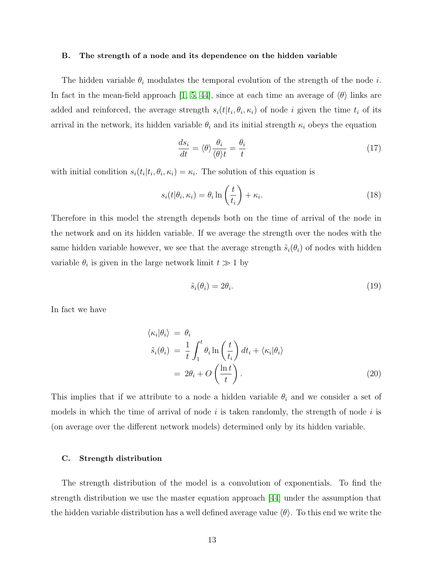#### B. The strength of a node and its dependence on the hidden variable

The hidden variable  $\theta_i$  modulates the temporal evolution of the strength of the node i. In fact in the mean-field approach [\[1,](#page-21-0) [5,](#page-21-2) [44\]](#page-22-19), since at each time an average of  $\langle \theta \rangle$  links are added and reinforced, the average strength  $s_i(t|t_i, \theta_i, \kappa_i)$  of node i given the time  $t_i$  of its arrival in the network, its hidden variable  $\theta_i$  and its initial strength  $\kappa_i$  obeys the equation

$$
\frac{ds_i}{dt} = \langle \theta \rangle \frac{\theta_i}{\langle \theta \rangle t} = \frac{\theta_i}{t} \tag{17}
$$

with initial condition  $s_i(t_i|t_i, \theta_i, \kappa_i) = \kappa_i$ . The solution of this equation is

$$
s_i(t|\theta_i, \kappa_i) = \theta_i \ln\left(\frac{t}{t_i}\right) + \kappa_i.
$$
\n(18)

Therefore in this model the strength depends both on the time of arrival of the node in the network and on its hidden variable. If we average the strength over the nodes with the same hidden variable however, we see that the average strength  $\tilde{s}_i(\theta_i)$  of nodes with hidden variable  $\theta_i$  is given in the large network limit  $t \gg 1$  by

$$
\tilde{s}_i(\theta_i) = 2\theta_i. \tag{19}
$$

In fact we have

$$
\langle \kappa_i | \theta_i \rangle = \theta_i
$$
  
\n
$$
\tilde{s}_i(\theta_i) = \frac{1}{t} \int_1^t \theta_i \ln\left(\frac{t}{t_i}\right) dt_i + \langle \kappa_i | \theta_i \rangle
$$
  
\n
$$
= 2\theta_i + O\left(\frac{\ln t}{t}\right).
$$
\n(20)

This implies that if we attribute to a node a hidden variable  $\theta_i$  and we consider a set of models in which the time of arrival of node  $i$  is taken randomly, the strength of node  $i$  is (on average over the different network models) determined only by its hidden variable.

#### C. Strength distribution

The strength distribution of the model is a convolution of exponentials. To find the strength distribution we use the master equation approach [\[44\]](#page-22-19) under the assumption that the hidden variable distribution has a well defined average value  $\langle \theta \rangle$ . To this end we write the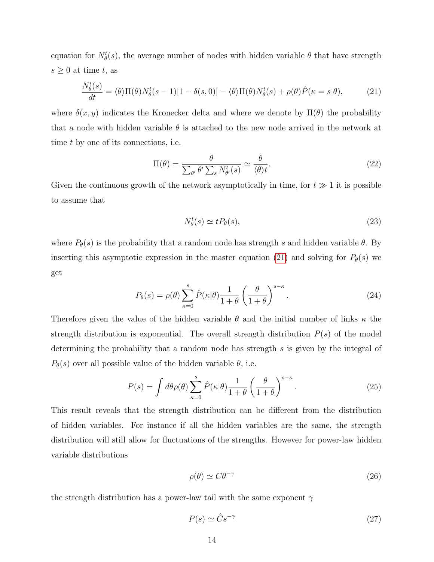equation for  $N_{\theta}^{t}(s)$ , the average number of nodes with hidden variable  $\theta$  that have strength  $s \geq 0$  at time t, as

<span id="page-13-0"></span>
$$
\frac{N_{\theta}^{t}(s)}{dt} = \langle \theta \rangle \Pi(\theta) N_{\theta}^{t}(s-1)[1-\delta(s,0)] - \langle \theta \rangle \Pi(\theta) N_{\theta}^{t}(s) + \rho(\theta) \hat{P}(\kappa = s | \theta), \tag{21}
$$

where  $\delta(x, y)$  indicates the Kronecker delta and where we denote by  $\Pi(\theta)$  the probability that a node with hidden variable  $\theta$  is attached to the new node arrived in the network at time t by one of its connections, i.e.

$$
\Pi(\theta) = \frac{\theta}{\sum_{\theta'} \theta' \sum_s N_{\theta'}^t(s)} \simeq \frac{\theta}{\langle \theta \rangle t}.
$$
\n(22)

Given the continuous growth of the network asymptotically in time, for  $t \gg 1$  it is possible to assume that

$$
N_{\theta}^{t}(s) \simeq t P_{\theta}(s), \tag{23}
$$

where  $P_{\theta}(s)$  is the probability that a random node has strength s and hidden variable  $\theta$ . By inserting this asymptotic expression in the master equation [\(21\)](#page-13-0) and solving for  $P_{\theta}(s)$  we get

$$
P_{\theta}(s) = \rho(\theta) \sum_{\kappa=0}^{s} \hat{P}(\kappa|\theta) \frac{1}{1+\theta} \left(\frac{\theta}{1+\theta}\right)^{s-\kappa}.
$$
 (24)

Therefore given the value of the hidden variable  $\theta$  and the initial number of links  $\kappa$  the strength distribution is exponential. The overall strength distribution  $P(s)$  of the model determining the probability that a random node has strength s is given by the integral of  $P_{\theta}(s)$  over all possible value of the hidden variable  $\theta$ , i.e.

<span id="page-13-1"></span>
$$
P(s) = \int d\theta \rho(\theta) \sum_{\kappa=0}^{s} \hat{P}(\kappa|\theta) \frac{1}{1+\theta} \left(\frac{\theta}{1+\theta}\right)^{s-\kappa}.
$$
 (25)

This result reveals that the strength distribution can be different from the distribution of hidden variables. For instance if all the hidden variables are the same, the strength distribution will still allow for fluctuations of the strengths. However for power-law hidden variable distributions

<span id="page-13-2"></span>
$$
\rho(\theta) \simeq C\theta^{-\gamma} \tag{26}
$$

the strength distribution has a power-law tail with the same exponent  $\gamma$ 

$$
P(s) \simeq \hat{C} s^{-\gamma} \tag{27}
$$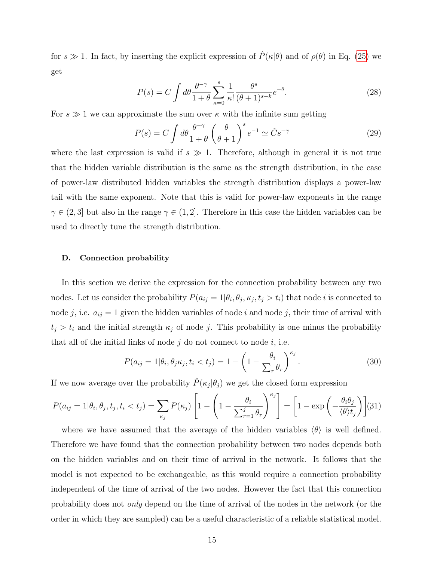for  $s \gg 1$ . In fact, by inserting the explicit expression of  $\hat{P}(\kappa|\theta)$  and of  $\rho(\theta)$  in Eq. [\(25\)](#page-13-1) we get

$$
P(s) = C \int d\theta \frac{\theta^{-\gamma}}{1+\theta} \sum_{\kappa=0}^{s} \frac{1}{\kappa!} \frac{\theta^{s}}{(\theta+1)^{s-k}} e^{-\theta}.
$$
 (28)

For  $s \gg 1$  we can approximate the sum over  $\kappa$  with the infinite sum getting

$$
P(s) = C \int d\theta \frac{\theta^{-\gamma}}{1+\theta} \left(\frac{\theta}{\theta+1}\right)^s e^{-1} \simeq \hat{C} s^{-\gamma}
$$
 (29)

where the last expression is valid if  $s \gg 1$ . Therefore, although in general it is not true that the hidden variable distribution is the same as the strength distribution, in the case of power-law distributed hidden variables the strength distribution displays a power-law tail with the same exponent. Note that this is valid for power-law exponents in the range  $\gamma \in (2,3]$  but also in the range  $\gamma \in (1,2]$ . Therefore in this case the hidden variables can be used to directly tune the strength distribution.

#### D. Connection probability

In this section we derive the expression for the connection probability between any two nodes. Let us consider the probability  $P(a_{ij} = 1 | \theta_i, \theta_j, \kappa_j, t_j > t_i)$  that node *i* is connected to node j, i.e.  $a_{ij} = 1$  given the hidden variables of node i and node j, their time of arrival with  $t_j > t_i$  and the initial strength  $\kappa_j$  of node j. This probability is one minus the probability that all of the initial links of node  $j$  do not connect to node  $i$ , i.e.

$$
P(a_{ij} = 1 | \theta_i, \theta_j \kappa_j, t_i < t_j) = 1 - \left(1 - \frac{\theta_i}{\sum_r \theta_r}\right)^{\kappa_j}.\tag{30}
$$

If we now average over the probability  $\hat{P}(\kappa_j|\theta_j)$  we get the closed form expression

<span id="page-14-0"></span>
$$
P(a_{ij} = 1 | \theta_i, \theta_j, t_j, t_i < t_j) = \sum_{\kappa_j} P(\kappa_j) \left[ 1 - \left( 1 - \frac{\theta_i}{\sum_{r=1}^j \theta_r} \right)^{\kappa_j} \right] = \left[ 1 - \exp\left( -\frac{\theta_i \theta_j}{\langle \theta \rangle t_j} \right) \right] (31)
$$

where we have assumed that the average of the hidden variables  $\langle \theta \rangle$  is well defined. Therefore we have found that the connection probability between two nodes depends both on the hidden variables and on their time of arrival in the network. It follows that the model is not expected to be exchangeable, as this would require a connection probability independent of the time of arrival of the two nodes. However the fact that this connection probability does not only depend on the time of arrival of the nodes in the network (or the order in which they are sampled) can be a useful characteristic of a reliable statistical model.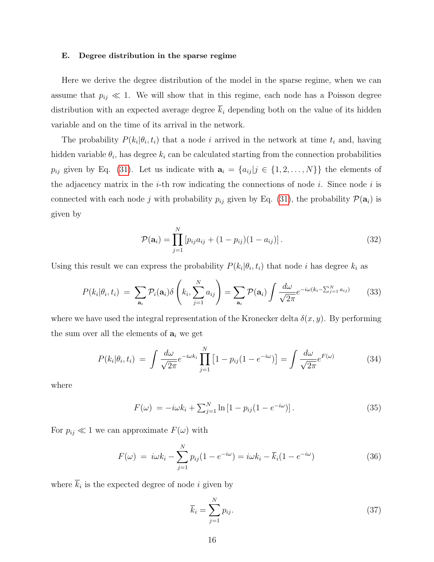#### E. Degree distribution in the sparse regime

Here we derive the degree distribution of the model in the sparse regime, when we can assume that  $p_{ij} \ll 1$ . We will show that in this regime, each node has a Poisson degree distribution with an expected average degree  $\overline{k}_i$  depending both on the value of its hidden variable and on the time of its arrival in the network.

The probability  $P(k_i|\theta_i, t_i)$  that a node i arrived in the network at time  $t_i$  and, having hidden variable  $\theta_i$ , has degree  $k_i$  can be calculated starting from the connection probabilities  $p_{ij}$  given by Eq. [\(31\)](#page-14-0). Let us indicate with  $\mathbf{a}_i = \{a_{ij} | j \in \{1, 2, ..., N\}\}\$  the elements of the adjacency matrix in the  $i$ -th row indicating the connections of node  $i$ . Since node  $i$  is connected with each node j with probability  $p_{ij}$  given by Eq. [\(31\)](#page-14-0), the probability  $\mathcal{P}(\mathbf{a}_i)$  is given by

$$
\mathcal{P}(\mathbf{a}_i) = \prod_{j=1}^{N} \left[ p_{ij} a_{ij} + (1 - p_{ij})(1 - a_{ij}) \right]. \tag{32}
$$

Using this result we can express the probability  $P(k_i|\theta_i,t_i)$  that node i has degree  $k_i$  as

$$
P(k_i|\theta_i, t_i) = \sum_{\mathbf{a}_i} \mathcal{P}_i(\mathbf{a}_i) \delta\left(k_i, \sum_{j=1}^N a_{ij}\right) = \sum_{\mathbf{a}_i} \mathcal{P}(\mathbf{a}_i) \int \frac{d\omega}{\sqrt{2\pi}} e^{-i\omega(k_i - \sum_{j=1}^N a_{ij})} \tag{33}
$$

where we have used the integral representation of the Kronecker delta  $\delta(x, y)$ . By performing the sum over all the elements of  $a_i$  we get

<span id="page-15-0"></span>
$$
P(k_i|\theta_i, t_i) = \int \frac{d\omega}{\sqrt{2\pi}} e^{-i\omega k_i} \prod_{j=1}^N \left[1 - p_{ij}(1 - e^{-i\omega})\right] = \int \frac{d\omega}{\sqrt{2\pi}} e^{F(\omega)} \tag{34}
$$

where

$$
F(\omega) = -i\omega k_i + \sum_{j=1}^{N} \ln\left[1 - p_{ij}(1 - e^{-i\omega})\right].
$$
 (35)

For  $p_{ij} \ll 1$  we can approximate  $F(\omega)$  with

<span id="page-15-1"></span>
$$
F(\omega) = i\omega k_i - \sum_{j=1}^{N} p_{ij} (1 - e^{-i\omega}) = i\omega k_i - \overline{k}_i (1 - e^{-i\omega})
$$
 (36)

where  $k_i$  is the expected degree of node i given by

<span id="page-15-2"></span>
$$
\overline{k}_i = \sum_{j=1}^N p_{ij}.\tag{37}
$$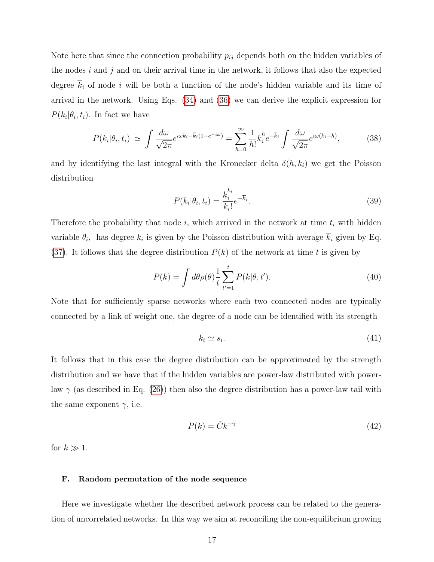Note here that since the connection probability  $p_{ij}$  depends both on the hidden variables of the nodes  $i$  and  $j$  and on their arrival time in the network, it follows that also the expected degree  $\overline{k}_i$  of node i will be both a function of the node's hidden variable and its time of arrival in the network. Using Eqs. [\(34\)](#page-15-0) and [\(36\)](#page-15-1) we can derive the explicit expression for  $P(k_i|\theta_i, t_i)$ . In fact we have

$$
P(k_i|\theta_i, t_i) \simeq \int \frac{d\omega}{\sqrt{2\pi}} e^{i\omega k_i - \overline{k}_i(1 - e^{-i\omega})} = \sum_{h=0}^{\infty} \frac{1}{h!} \overline{k}_i^h e^{-\overline{k}_i} \int \frac{d\omega}{\sqrt{2\pi}} e^{i\omega(k_i - h)}, \tag{38}
$$

and by identifying the last integral with the Kronecker delta  $\delta(h, k_i)$  we get the Poisson distribution

$$
P(k_i|\theta_i, t_i) = \frac{\overline{k}_i^{k_i}}{k_i!}e^{-\overline{k}_i}.
$$
\n(39)

Therefore the probability that node  $i$ , which arrived in the network at time  $t_i$  with hidden variable  $\theta_i$ , has degree  $k_i$  is given by the Poisson distribution with average  $k_i$  given by Eq. [\(37\)](#page-15-2). It follows that the degree distribution  $P(k)$  of the network at time t is given by

$$
P(k) = \int d\theta \rho(\theta) \frac{1}{t} \sum_{t'=1}^{t} P(k|\theta, t'). \tag{40}
$$

Note that for sufficiently sparse networks where each two connected nodes are typically connected by a link of weight one, the degree of a node can be identified with its strength

$$
k_i \simeq s_i. \tag{41}
$$

It follows that in this case the degree distribution can be approximated by the strength distribution and we have that if the hidden variables are power-law distributed with powerlaw  $\gamma$  (as described in Eq. [\(26\)](#page-13-2)) then also the degree distribution has a power-law tail with the same exponent  $\gamma$ , i.e.

$$
P(k) = \tilde{C}k^{-\gamma} \tag{42}
$$

for  $k \gg 1$ .

## F. Random permutation of the node sequence

Here we investigate whether the described network process can be related to the generation of uncorrelated networks. In this way we aim at reconciling the non-equilibrium growing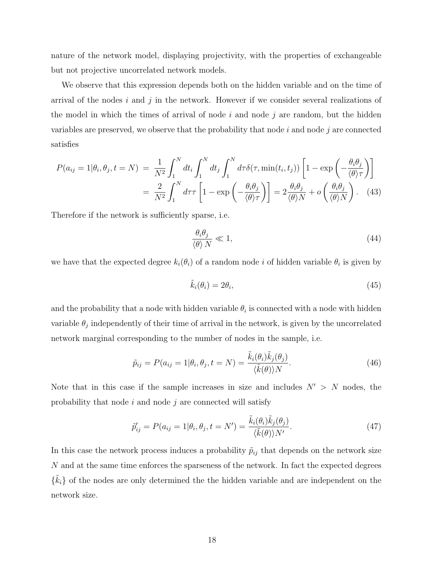nature of the network model, displaying projectivity, with the properties of exchangeable but not projective uncorrelated network models.

We observe that this expression depends both on the hidden variable and on the time of arrival of the nodes  $i$  and  $j$  in the network. However if we consider several realizations of the model in which the times of arrival of node  $i$  and node  $j$  are random, but the hidden variables are preserved, we observe that the probability that node  $i$  and node  $j$  are connected satisfies

$$
P(a_{ij} = 1 | \theta_i, \theta_j, t = N) = \frac{1}{N^2} \int_1^N dt_i \int_1^N dt_j \int_1^N d\tau \delta(\tau, \min(t_i, t_j)) \left[ 1 - \exp\left( -\frac{\theta_i \theta_j}{\langle \theta \rangle \tau} \right) \right]
$$
  
=  $\frac{2}{N^2} \int_1^N d\tau \tau \left[ 1 - \exp\left( -\frac{\theta_i \theta_j}{\langle \theta \rangle \tau} \right) \right] = 2 \frac{\theta_i \theta_j}{\langle \theta \rangle N} + o\left( \frac{\theta_i \theta_j}{\langle \theta \rangle N} \right).$  (43)

Therefore if the network is sufficiently sparse, i.e.

$$
\frac{\theta_i \theta_j}{\langle \theta \rangle N} \ll 1,\tag{44}
$$

we have that the expected degree  $k_i(\theta_i)$  of a random node i of hidden variable  $\theta_i$  is given by

$$
\tilde{k}_i(\theta_i) = 2\theta_i,\tag{45}
$$

and the probability that a node with hidden variable  $\theta_i$  is connected with a node with hidden variable  $\theta_j$  independently of their time of arrival in the network, is given by the uncorrelated network marginal corresponding to the number of nodes in the sample, i.e.

$$
\tilde{p}_{ij} = P(a_{ij} = 1 | \theta_i, \theta_j, t = N) = \frac{\tilde{k}_i(\theta_i)\tilde{k}_j(\theta_j)}{\langle \tilde{k}(\theta) \rangle N}.
$$
\n(46)

Note that in this case if the sample increases in size and includes  $N' > N$  nodes, the probability that node  $i$  and node  $j$  are connected will satisfy

$$
\tilde{p}'_{ij} = P(a_{ij} = 1 | \theta_i, \theta_j, t = N') = \frac{\tilde{k}_i(\theta_i)\tilde{k}_j(\theta_j)}{\langle \tilde{k}(\theta) \rangle N'}.
$$
\n(47)

In this case the network process induces a probability  $\tilde{p}_{ij}$  that depends on the network size N and at the same time enforces the sparseness of the network. In fact the expected degrees  $\{\tilde{k}_i\}$  of the nodes are only determined the the hidden variable and are independent on the network size.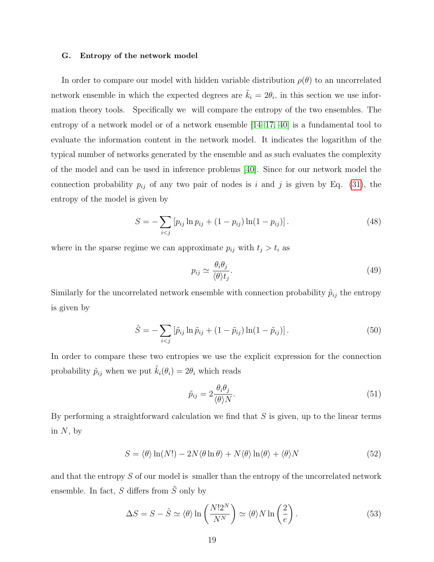#### G. Entropy of the network model

In order to compare our model with hidden variable distribution  $\rho(\theta)$  to an uncorrelated network ensemble in which the expected degrees are  $\tilde{k}_i = 2\theta_i$ , in this section we use information theory tools. Specifically we will compare the entropy of the two ensembles. The entropy of a network model or of a network ensemble [\[14–](#page-21-4)[17,](#page-21-7) [40\]](#page-22-11) is a fundamental tool to evaluate the information content in the network model. It indicates the logarithm of the typical number of networks generated by the ensemble and as such evaluates the complexity of the model and can be used in inference problems [\[40\]](#page-22-11). Since for our network model the connection probability  $p_{ij}$  of any two pair of nodes is i and j is given by Eq. [\(31\)](#page-14-0), the entropy of the model is given by

$$
S = -\sum_{i < j} \left[ p_{ij} \ln p_{ij} + (1 - p_{ij}) \ln (1 - p_{ij}) \right]. \tag{48}
$$

where in the sparse regime we can approximate  $p_{ij}$  with  $t_j > t_i$  as

$$
p_{ij} \simeq \frac{\theta_i \theta_j}{\langle \theta \rangle t_j}.\tag{49}
$$

Similarly for the uncorrelated network ensemble with connection probability  $\tilde{p}_{ij}$  the entropy is given by

$$
\tilde{S} = -\sum_{i < j} \left[ \tilde{p}_{ij} \ln \tilde{p}_{ij} + (1 - \tilde{p}_{ij}) \ln(1 - \tilde{p}_{ij}) \right]. \tag{50}
$$

In order to compare these two entropies we use the explicit expression for the connection probability  $\tilde{p}_{ij}$  when we put  $\tilde{k}_i(\theta_i) = 2\theta_i$  which reads

$$
\tilde{p}_{ij} = 2 \frac{\theta_i \theta_j}{\langle \theta \rangle N}.
$$
\n(51)

By performing a straightforward calculation we find that  $S$  is given, up to the linear terms in  $N$ , by

$$
S = \langle \theta \rangle \ln(N!) - 2N \langle \theta \ln \theta \rangle + N \langle \theta \rangle \ln \langle \theta \rangle + \langle \theta \rangle N \tag{52}
$$

and that the entropy S of our model is smaller than the entropy of the uncorrelated network ensemble. In fact, S differs from  $\tilde{S}$  only by

$$
\Delta S = S - \tilde{S} \simeq \langle \theta \rangle \ln \left( \frac{N! 2^N}{N^N} \right) \simeq \langle \theta \rangle N \ln \left( \frac{2}{e} \right). \tag{53}
$$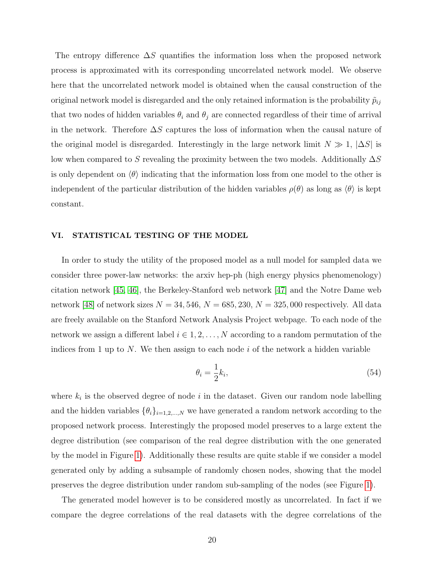The entropy difference  $\Delta S$  quantifies the information loss when the proposed network process is approximated with its corresponding uncorrelated network model. We observe here that the uncorrelated network model is obtained when the causal construction of the original network model is disregarded and the only retained information is the probability  $\tilde{p}_{ij}$ that two nodes of hidden variables  $\theta_i$  and  $\theta_j$  are connected regardless of their time of arrival in the network. Therefore  $\Delta S$  captures the loss of information when the causal nature of the original model is disregarded. Interestingly in the large network limit  $N \gg 1$ ,  $|\Delta S|$  is low when compared to S revealing the proximity between the two models. Additionally  $\Delta S$ is only dependent on  $\langle \theta \rangle$  indicating that the information loss from one model to the other is independent of the particular distribution of the hidden variables  $\rho(\theta)$  as long as  $\langle \theta \rangle$  is kept constant.

## <span id="page-19-0"></span>VI. STATISTICAL TESTING OF THE MODEL

In order to study the utility of the proposed model as a null model for sampled data we consider three power-law networks: the arxiv hep-ph (high energy physics phenomenology) citation network [\[45,](#page-23-0) [46\]](#page-23-1), the Berkeley-Stanford web network [\[47\]](#page-23-2) and the Notre Dame web network [\[48\]](#page-23-3) of network sizes  $N = 34, 546, N = 685, 230, N = 325, 000$  respectively. All data are freely available on the Stanford Network Analysis Project webpage. To each node of the network we assign a different label  $i \in 1, 2, ..., N$  according to a random permutation of the indices from 1 up to N. We then assign to each node i of the network a hidden variable

$$
\theta_i = \frac{1}{2}k_i,\tag{54}
$$

where  $k_i$  is the observed degree of node i in the dataset. Given our random node labelling and the hidden variables  $\{\theta_i\}_{i=1,2,\dots,N}$  we have generated a random network according to the proposed network process. Interestingly the proposed model preserves to a large extent the degree distribution (see comparison of the real degree distribution with the one generated by the model in Figure [1\)](#page-24-0). Additionally these results are quite stable if we consider a model generated only by adding a subsample of randomly chosen nodes, showing that the model preserves the degree distribution under random sub-sampling of the nodes (see Figure [1\)](#page-24-0).

The generated model however is to be considered mostly as uncorrelated. In fact if we compare the degree correlations of the real datasets with the degree correlations of the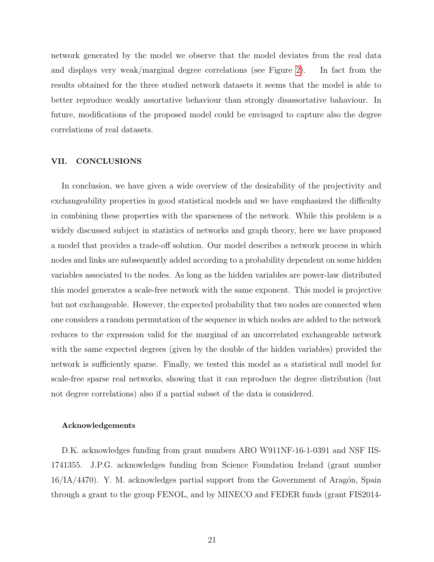network generated by the model we observe that the model deviates from the real data and displays very weak/marginal degree correlations (see Figure [2\)](#page-25-0). In fact from the results obtained for the three studied network datasets it seems that the model is able to better reproduce weakly assortative behaviour than strongly disassortative bahaviour. In future, modifications of the proposed model could be envisaged to capture also the degree correlations of real datasets.

## VII. CONCLUSIONS

In conclusion, we have given a wide overview of the desirability of the projectivity and exchangeability properties in good statistical models and we have emphasized the difficulty in combining these properties with the sparseness of the network. While this problem is a widely discussed subject in statistics of networks and graph theory, here we have proposed a model that provides a trade-off solution. Our model describes a network process in which nodes and links are subsequently added according to a probability dependent on some hidden variables associated to the nodes. As long as the hidden variables are power-law distributed this model generates a scale-free network with the same exponent. This model is projective but not exchangeable. However, the expected probability that two nodes are connected when one considers a random permutation of the sequence in which nodes are added to the network reduces to the expression valid for the marginal of an uncorrelated exchangeable network with the same expected degrees (given by the double of the hidden variables) provided the network is sufficiently sparse. Finally, we tested this model as a statistical null model for scale-free sparse real networks, showing that it can reproduce the degree distribution (but not degree correlations) also if a partial subset of the data is considered.

### Acknowledgements

D.K. acknowledges funding from grant numbers ARO W911NF-16-1-0391 and NSF IIS-1741355. J.P.G. acknowledges funding from Science Foundation Ireland (grant number  $16/IA/4470$ ). Y. M. acknowledges partial support from the Government of Aragón, Spain through a grant to the group FENOL, and by MINECO and FEDER funds (grant FIS2014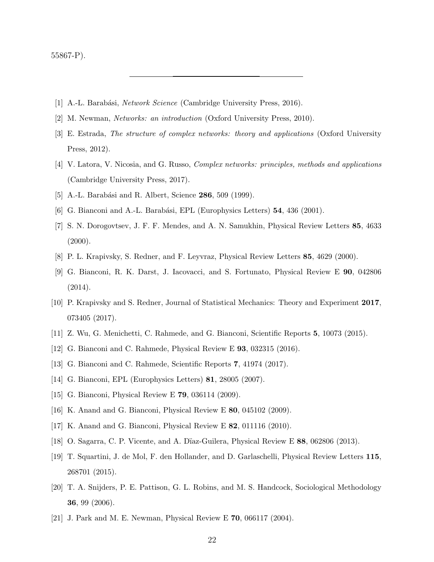55867-P).

- <span id="page-21-0"></span>[1] A.-L. Barabási, *Network Science* (Cambridge University Press, 2016).
- [2] M. Newman, Networks: an introduction (Oxford University Press, 2010).
- [3] E. Estrada, The structure of complex networks: theory and applications (Oxford University Press, 2012).
- <span id="page-21-1"></span>[4] V. Latora, V. Nicosia, and G. Russo, Complex networks: principles, methods and applications (Cambridge University Press, 2017).
- <span id="page-21-10"></span><span id="page-21-2"></span>[5] A.-L. Barabási and R. Albert, Science 286, 509 (1999).
- [6] G. Bianconi and A.-L. Barabási, EPL (Europhysics Letters)  $54$ , 436 (2001).
- [7] S. N. Dorogovtsev, J. F. F. Mendes, and A. N. Samukhin, Physical Review Letters 85, 4633  $(2000).$
- <span id="page-21-11"></span><span id="page-21-9"></span>[8] P. L. Krapivsky, S. Redner, and F. Leyvraz, Physical Review Letters 85, 4629 (2000).
- [9] G. Bianconi, R. K. Darst, J. Iacovacci, and S. Fortunato, Physical Review E 90, 042806 (2014).
- [10] P. Krapivsky and S. Redner, Journal of Statistical Mechanics: Theory and Experiment 2017, 073405 (2017).
- <span id="page-21-12"></span>[11] Z. Wu, G. Menichetti, C. Rahmede, and G. Bianconi, Scientific Reports 5, 10073 (2015).
- <span id="page-21-3"></span>[12] G. Bianconi and C. Rahmede, Physical Review E 93, 032315 (2016).
- <span id="page-21-4"></span>[13] G. Bianconi and C. Rahmede, Scientific Reports 7, 41974 (2017).
- [14] G. Bianconi, EPL (Europhysics Letters) 81, 28005 (2007).
- <span id="page-21-6"></span>[15] G. Bianconi, Physical Review E 79, 036114 (2009).
- <span id="page-21-7"></span>[16] K. Anand and G. Bianconi, Physical Review E 80, 045102 (2009).
- [17] K. Anand and G. Bianconi, Physical Review E 82, 011116 (2010).
- <span id="page-21-5"></span>[18] O. Sagarra, C. P. Vicente, and A. D¨ıaz-Guilera, Physical Review E 88, 062806 (2013).
- [19] T. Squartini, J. de Mol, F. den Hollander, and D. Garlaschelli, Physical Review Letters 115, 268701 (2015).
- <span id="page-21-8"></span>[20] T. A. Snijders, P. E. Pattison, G. L. Robins, and M. S. Handcock, Sociological Methodology 36, 99 (2006).
- [21] J. Park and M. E. Newman, Physical Review E 70, 066117 (2004).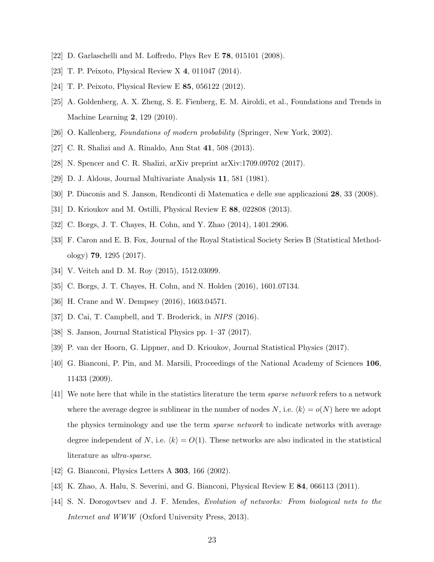- <span id="page-22-1"></span><span id="page-22-0"></span>[22] D. Garlaschelli and M. Loffredo, Phys Rev E 78, 015101 (2008).
- <span id="page-22-2"></span>[23] T. P. Peixoto, Physical Review X 4, 011047 (2014).
- <span id="page-22-3"></span>[24] T. P. Peixoto, Physical Review E 85, 056122 (2012).
- [25] A. Goldenberg, A. X. Zheng, S. E. Fienberg, E. M. Airoldi, et al., Foundations and Trends in Machine Learning 2, 129 (2010).
- <span id="page-22-6"></span><span id="page-22-4"></span>[26] O. Kallenberg, Foundations of modern probability (Springer, New York, 2002).
- [27] C. R. Shalizi and A. Rinaldo, Ann Stat 41, 508 (2013).
- <span id="page-22-14"></span>[28] N. Spencer and C. R. Shalizi, arXiv preprint arXiv:1709.09702 (2017).
- <span id="page-22-5"></span>[29] D. J. Aldous, Journal Multivariate Analysis 11, 581 (1981).
- <span id="page-22-7"></span>[30] P. Diaconis and S. Janson, Rendiconti di Matematica e delle sue applicazioni 28, 33 (2008).
- <span id="page-22-8"></span>[31] D. Krioukov and M. Ostilli, Physical Review E 88, 022808 (2013).
- <span id="page-22-13"></span>[32] C. Borgs, J. T. Chayes, H. Cohn, and Y. Zhao (2014), 1401.2906.
- [33] F. Caron and E. B. Fox, Journal of the Royal Statistical Society Series B (Statistical Methodology) 79, 1295 (2017).
- <span id="page-22-17"></span>[34] V. Veitch and D. M. Roy (2015), 1512.03099.
- <span id="page-22-18"></span>[35] C. Borgs, J. T. Chayes, H. Cohn, and N. Holden (2016), 1601.07134.
- [36] H. Crane and W. Dempsey (2016), 1603.04571.
- <span id="page-22-9"></span>[37] D. Cai, T. Campbell, and T. Broderick, in NIPS (2016).
- <span id="page-22-10"></span>[38] S. Janson, Journal Statistical Physics pp. 1–37 (2017).
- <span id="page-22-11"></span>[39] P. van der Hoorn, G. Lippner, and D. Krioukov, Journal Statistical Physics (2017).
- [40] G. Bianconi, P. Pin, and M. Marsili, Proceedings of the National Academy of Sciences 106, 11433 (2009).
- <span id="page-22-12"></span>[41] We note here that while in the statistics literature the term sparse network refers to a network where the average degree is sublinear in the number of nodes N, i.e.  $\langle k \rangle = o(N)$  here we adopt the physics terminology and use the term *sparse network* to indicate networks with average degree independent of N, i.e.  $\langle k \rangle = O(1)$ . These networks are also indicated in the statistical literature as ultra-sparse.
- <span id="page-22-16"></span><span id="page-22-15"></span>[42] G. Bianconi, Physics Letters A **303**, 166 (2002).
- <span id="page-22-19"></span>[43] K. Zhao, A. Halu, S. Severini, and G. Bianconi, Physical Review E 84, 066113 (2011).
- [44] S. N. Dorogovtsev and J. F. Mendes, Evolution of networks: From biological nets to the Internet and WWW (Oxford University Press, 2013).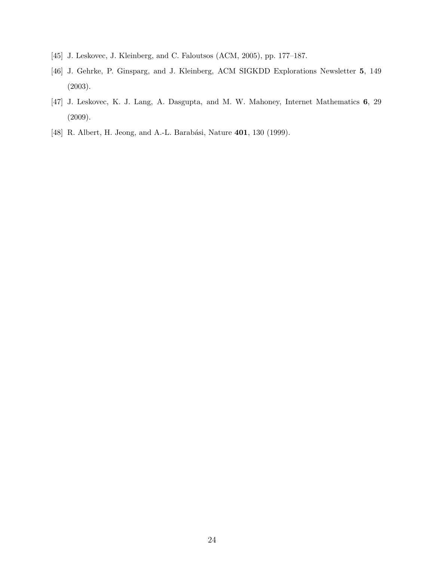- <span id="page-23-1"></span><span id="page-23-0"></span>[45] J. Leskovec, J. Kleinberg, and C. Faloutsos (ACM, 2005), pp. 177–187.
- [46] J. Gehrke, P. Ginsparg, and J. Kleinberg, ACM SIGKDD Explorations Newsletter 5, 149 (2003).
- <span id="page-23-2"></span>[47] J. Leskovec, K. J. Lang, A. Dasgupta, and M. W. Mahoney, Internet Mathematics 6, 29 (2009).
- <span id="page-23-3"></span>[48] R. Albert, H. Jeong, and A.-L. Barabási, Nature 401, 130 (1999).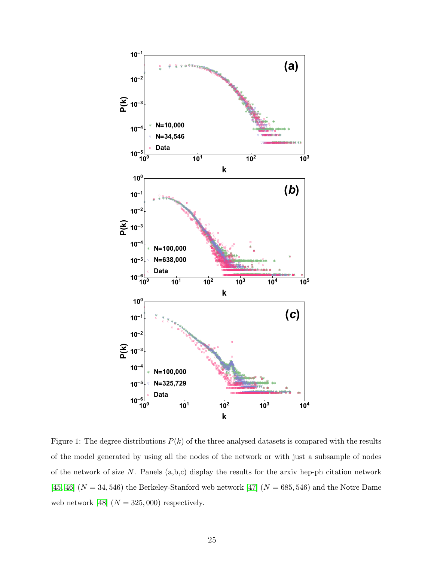

<span id="page-24-0"></span>Figure 1: The degree distributions  $P(k)$  of the three analysed datasets is compared with the results of the model generated by using all the nodes of the network or with just a subsample of nodes of the network of size  $N$ . Panels  $(a,b,c)$  display the results for the arxiv hep-ph citation network [45, 46]  $(N = 34, 546)$  the Berkeley-Stanford web network [47]  $(N = 685, 546)$  and the Notre Dame web network [48]  $(N=325,000)$  respectively.